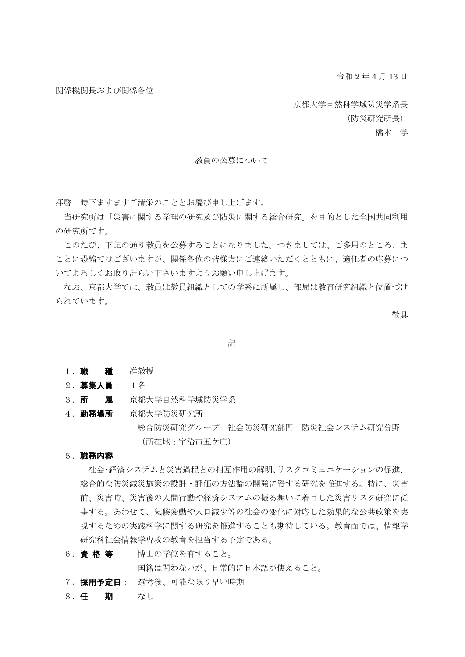令和 2 年 4 月 13 日

関係機関長および関係各位

京都大学自然科学域防災学系長

(防災研究所長)

橋本 学

## 教員の公募について

拝啓 時下ますますご清栄のこととお慶び申し上げます。

当研究所は「災害に関する学理の研究及び防災に関する総合研究」を目的とした全国共同利用 の研究所です。

このたび、下記の通り教員を公募することになりました。つきましては、ご多用のところ、ま ことに恐縮ではございますが、関係各位の皆様方にご連絡いただくとともに、適任者の応募につ いてよろしくお取り計らい下さいますようお願い申し上げます。

なお、京都大学では、教員は教員組織としての学系に所属し、部局は教育研究組織と位置づけ られています。

敬具

記

- 1. 職 種: 准教授
- 2.募集人員: 1名
- 3. **所 属**: 京都大学自然科学域防災学系
- 4. 勤務場所: 京都大学防災研究所 総合防災研究グループ 社会防災研究部門 防災社会システム研究分野 (所在地:宇治市五ケ庄)

#### 5.職務内容:

社会・経済システムと災害過程との相互作用の解明、リスクコミュニケーションの促進、 総合的な防災減災施策の設計・評価の方法論の開発に資する研究を推進する。特に、災害 前、災害時、災害後の人間行動や経済システムの振る舞いに着目した災害リスク研究に従 事する。あわせて、気候変動や人口減少等の社会の変化に対応した効果的な公共政策を実 現するための実践科学に関する研究を推進することも期待している。教育面では、情報学 研究科社会情報学専攻の教育を担当する予定である。

6. 資格等: 博士の学位を有すること。

国籍は問わないが、日常的に日本語が使えること。

7. 採用予定日: 選考後、可能な限り早い時期

8.任 期: なし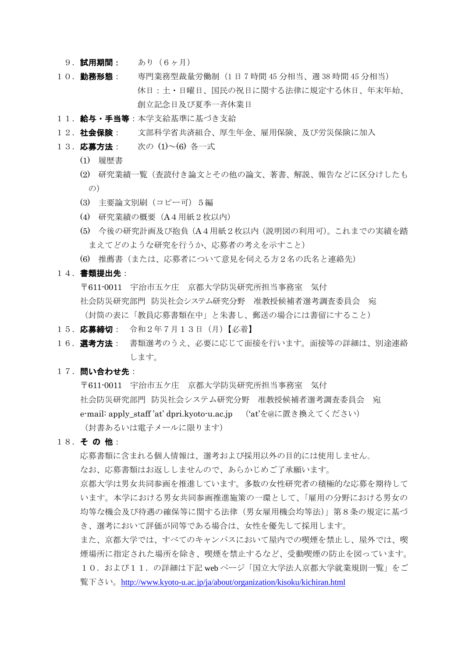- 9. 試用期間: あり (6ヶ月)
- 10. 勤務形態: 専門業務型裁量労働制 (1日 7 時間 45 分相当、週 38 時間 45 分相当) 休日:土・日曜日、国民の祝日に関する法律に規定する休日、年末年始、 創立記念日及び夏季一斉休業日
- 11. 給与·手当等:本学支給基準に基づき支給
- 12. 社会保険: 文部科学省共済組合、厚生年金、雇用保険、及び労災保険に加入
- 13. 応募方法: 次の(1)~(6) 各一式
	- (1) 履歴書
	- (2) 研究業績一覧(査読付き論文とその他の論文、著書、解説、報告などに区分けしたも  $\mathcal{O}$ )
	- (3) 主要論文別刷(コピー可)5編
	- (4) 研究業績の概要(A4用紙2枚以内)
	- (5) 今後の研究計画及び抱負(A4用紙2枚以内(説明図の利用可)。これまでの実績を踏 まえてどのような研究を行うか、応募者の考えを示すこと)
	- (6) 推薦書(または、応募者について意見を伺える方2名の氏名と連絡先)
- 14.書類提出先:

〒611-0011 宇治市五ケ庄 京都大学防災研究所担当事務室 気付 社会防災研究部門 防災社会システム研究分野 准教授候補者選考調査委員会 宛 (封筒の表に「教員応募書類在中」と朱書し、郵送の場合には書留にすること)

- 15. 応募締切: 令和2年7月13日 (月)【必着】
- 16. 選考方法: 書類選考のうえ、必要に応じて面接を行います。面接等の詳細は、別途連絡 します。

# 17. 問い合わせ先:

〒611-0011 宇治市五ケ庄 京都大学防災研究所担当事務室 気付 社会防災研究部門 防災社会システム研究分野 准教授候補者選考調査委員会 宛 e-mail: apply\_staff 'at' dpri.kyoto-u.ac.jp ('at'を@に置き換えてください) (封書あるいは電子メールに限ります)

18. その他:

応募書類に含まれる個人情報は、選考および採用以外の目的には使用しません。

なお、応募書類はお返ししませんので、あらかじめご了承願います。

京都大学は男女共同参画を推進しています。多数の女性研究者の積極的な応募を期待して います。本学における男女共同参画推進施策の一環として、「雇用の分野における男女の 均等な機会及び待遇の確保等に関する法律(男女雇用機会均等法)」第8条の規定に基づ き、選考において評価が同等である場合は、女性を優先して採用します。

また、京都大学では、すべてのキャンパスにおいて屋内での喫煙を禁止し、屋外では、喫 煙場所に指定された場所を除き、喫煙を禁止するなど、受動喫煙の防止を図っています。 10. および11. の詳細は下記 web ページ「国立大学法人京都大学就業規則一覧」をご 覧下さい。<http://www.kyoto-u.ac.jp/ja/about/organization/kisoku/kichiran.html>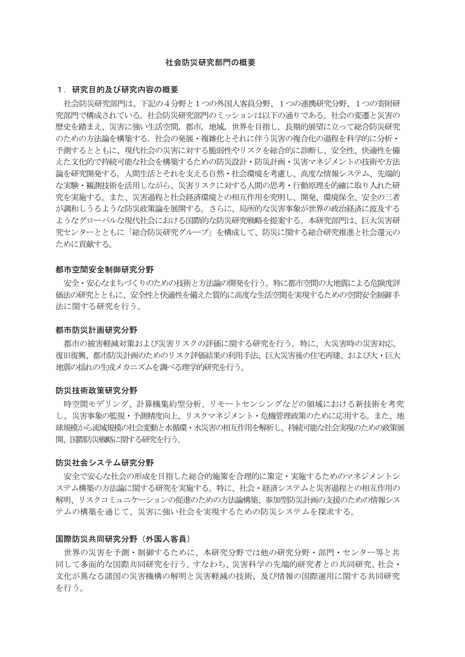### 社会防災研究部門の概要

# 1.研究目的及び研究内容の概要

社会防災研究部門は、下記の4分野と1つの外国人客員分野、1つの連携研究分野、1つの寄附研 究部門で構成されている。社会防災研究部門のミッションは以下の通りである。社会の変遷と災害の 歴史を踏まえ、災害に強い生活空間,都市,地域,世界を目指し,長期的展望に立って総合防災研究 のための方法論を構築する.社会の発展・複雑化とそれに伴う災害の複合化の過程を科学的に分析・ 予測するとともに、現代社会の災害に対する脆弱性やリスクを総合的に診断し、安全性、快適性を備 えた文化的で持続可能な社会を構築するための防災設計・防災計画・災害マネジメントの技術や方法 論を研究開発する。人間生活とそれを支える自然・社会環境を考慮し、高度な情報システム、先端的 な実験・観測技術を活用しながら、災害リスクに対する人間の思考・行動原理を的確に取り入れた研 究を実施する。また、災害過程と社会経済環境との相互作用を究明し、開発、環境保全、安全の三者 が調和しうるような防災政策論を展開する。さらに、局所的な災害事象が世界の政治経済に波及する ようなグローバルな現代社会における国際的な防災研究戦略を提案する。本研究部門は、巨大災害研 究センターとともに「総合防災研究グループ」を構成して、防災に関する総合研究推進と社会還元の ために貢献する。

## 都市空間安全制御研究分野

安全・安心なまちづくりのための技術と方法論の開発を行う。特に都市空間の大地震による危険度評 価法の研究とともに、安全性と快適性を備えた質的に高度な生活空間を実現するための空間安全制御手 法に関する研究を行う。

## 都市防災計画研究分野

都市の被害軽減対策および災害リスクの評価に関する研究を行う。特に、大災害時の災害対応、 復旧復興、都市防災計画のためのリスク評価結果の利用手法、巨大災害後の住宅再建、および大・巨大 地震の揺れの生成メカニズムを調べる理学的研究を行う。

#### 防災技術政策研究分野

時空間モデリング、計算機集約型分析、リモートセンシングなどの領域における新技術を考究 し、災害事象の監視・予測精度向上、リスクマネジメント・危機管理政策のために応用する。また、地 球規模から流域規模の社会変動と水循環・水災害の相互作用を解析し、持続可能な社会実現のための政策展 開、国際防災戦略に関する研究を行う。

### 防災社会システム研究分野

安全で安心な社会の形成を目指した総合的施策を合理的に策定・実施するためのマネジメントシ ステム構築の方法論に関する研究を実施する。特に、社会・経済システムと災害過程との相互作用の 解明、リスクコミュニケーションの促進のための方法論構築、参加型防災計画の支援のための情報シス テムの構築を通じて、災害に強い社会を実現するための防災システムを探求する。

## 国際防災共同研究分野(外国人客員)

世界の災害を予測・制御するために、本研究分野では他の研究分野・部門・センター等と共 同して多面的な国際共同研究を行う。すなわち、災害科学の先端的研究者との共同研究、社会・ 文化が異なる諸国の災害機構の解明と災害軽減の技術、及び情報の国際運用に関する共同研究 を行う。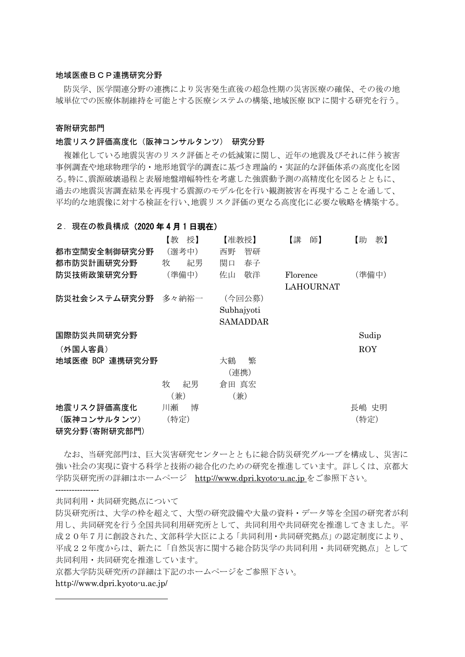## 地域医療BCP連携研究分野

防災学、医学関連分野の連携により災害発生直後の超急性期の災害医療の確保、その後の地 域単位での医療体制維持を可能とする医療システムの構築、地域医療 BCP に関する研究を行う。

## 寄附研究部門

### 地震リスク評価高度化(阪神コンサルタンツ) 研究分野

複雑化している地震災害のリスク評価とその低減策に関し、近年の地震及びそれに伴う被害 事例調査や地球物理学的・地形地質学的調査に基づき理論的・実証的な評価体系の高度化を図 る。特に、震源破壊過程と表層地盤増幅特性を考慮した強震動予測の高精度化を図るとともに、 過去の地震災害調査結果を再現する震源のモデル化を行い観測被害を再現することを通して、 平均的な地震像に対する検証を行い、地震リスク評価の更なる高度化に必要な戦略を構築する。

## 2. 現在の教員構成 (2020年4月1日現在)

|                 | 【教<br>授】 | 【准教授】      | 【講】<br>師】        | 教】<br>【助 |
|-----------------|----------|------------|------------------|----------|
| 都市空間安全制御研究分野    | (選考中)    | 智研<br>西野   |                  |          |
| 都市防災計画研究分野      | 牧<br>紀男  | 関口<br>春子   |                  |          |
| 防災技術政策研究分野      | (準備中)    | 佐山<br>敬洋   | Florence         | (準備中)    |
|                 |          |            | <b>LAHOURNAT</b> |          |
| 防災社会システム研究分野    | 多々納裕一    | (今回公募)     |                  |          |
|                 |          | Subhajyoti |                  |          |
|                 |          | SAMADDAR   |                  |          |
| 国際防災共同研究分野      |          |            |                  | Sudip    |
| (外国人客員)         |          |            |                  | ROY      |
| 地域医療 BCP 連携研究分野 |          | 大鶴<br>繁    |                  |          |
|                 |          | (連携)       |                  |          |
|                 | 牧<br>紀男  | 倉田 真宏      |                  |          |
|                 | (兼)      | (兼)        |                  |          |
| 地震リスク評価高度化      | 川瀬<br>博  |            |                  | 長嶋 史明    |
| (阪神コンサルタンツ)     | (特定)     |            |                  | (特定)     |
| 研究分野(寄附研究部門)    |          |            |                  |          |

なお、当研究部門は、巨大災害研究センターとともに総合防災研究グループを構成し、災害に 強い社会の実現に資する科学と技術の総合化のための研究を推進しています。詳しくは、京都大 学防災研究所の詳細はホームページ [http://www.dpri.kyoto-u.ac.jp](http://www.dpri.kyoto-u.ac.jp/web_j/index_topics.html) をご参照下さい。

----------------

共同利用・共同研究拠点について

防災研究所は、大学の枠を超えて、大型の研究設備や大量の資料・データ等を全国の研究者が利 用し、共同研究を行う全国共同利用研究所として、共同利用や共同研究を推進してきました。平 成20年7月に創設された、文部科学大臣による「共同利用・共同研究拠点」の認定制度により、 平成22年度からは、新たに「自然災害に関する総合防災学の共同利用・共同研究拠点」として 共同利用・共同研究を推進しています。

京都大学防災研究所の詳細は下記のホームページをご参照下さい。

## http://www.dpri.kyoto-u.ac.jp/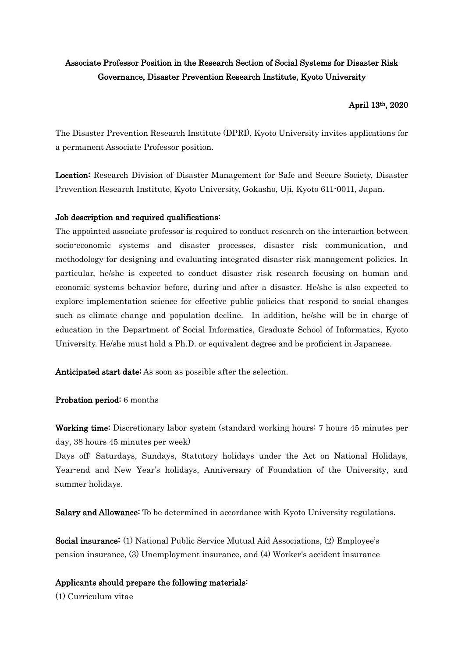# Associate Professor Position in the Research Section of Social Systems for Disaster Risk Governance, Disaster Prevention Research Institute, Kyoto University

# April 13th, 2020

The Disaster Prevention Research Institute (DPRI), Kyoto University invites applications for a permanent Associate Professor position.

Location: Research Division of Disaster Management for Safe and Secure Society, Disaster Prevention Research Institute, Kyoto University, Gokasho, Uji, Kyoto 611-0011, Japan.

# Job description and required qualifications:

The appointed associate professor is required to conduct research on the interaction between socio-economic systems and disaster processes, disaster risk communication, and methodology for designing and evaluating integrated disaster risk management policies. In particular, he/she is expected to conduct disaster risk research focusing on human and economic systems behavior before, during and after a disaster. He/she is also expected to explore implementation science for effective public policies that respond to social changes such as climate change and population decline. In addition, he/she will be in charge of education in the Department of Social Informatics, Graduate School of Informatics, Kyoto University. He/she must hold a Ph.D. or equivalent degree and be proficient in Japanese.

Anticipated start date: As soon as possible after the selection.

Probation period: 6 months

Working time: Discretionary labor system (standard working hours: 7 hours 45 minutes per day, 38 hours 45 minutes per week)

Days off: Saturdays, Sundays, Statutory holidays under the Act on National Holidays, Year-end and New Year's holidays, Anniversary of Foundation of the University, and summer holidays.

Salary and Allowance: To be determined in accordance with Kyoto University regulations.

Social insurance: (1) National Public Service Mutual Aid Associations, (2) Employee's pension insurance, (3) Unemployment insurance, and (4) Worker's accident insurance

# Applicants should prepare the following materials:

(1) Curriculum vitae